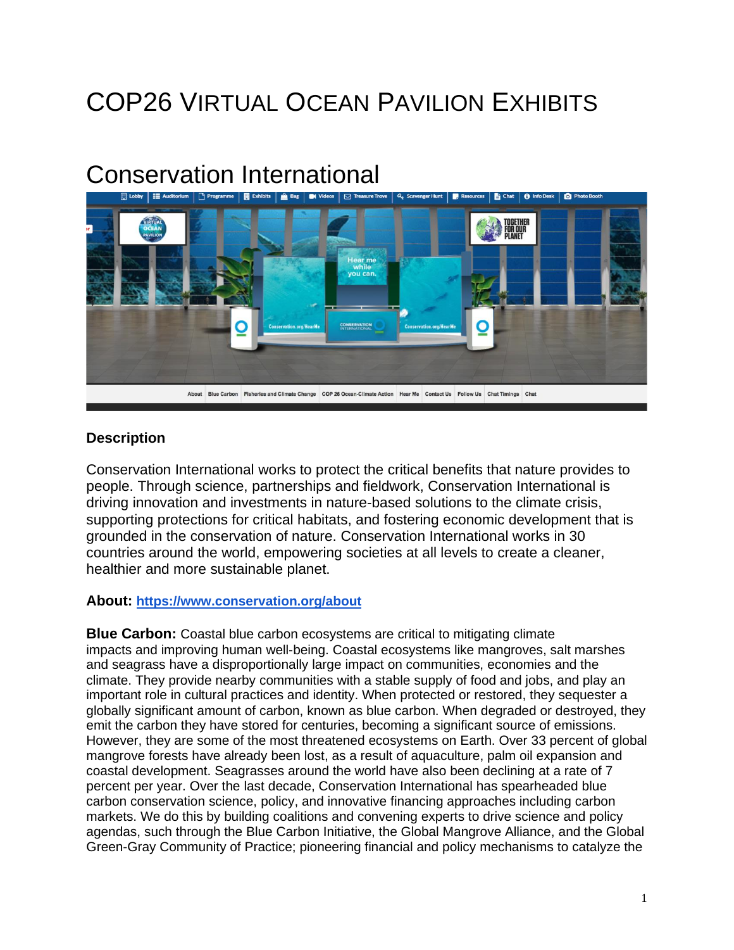# COP26 VIRTUAL OCEAN PAVILION EXHIBITS

# Conservation International



#### **Description**

Conservation International works to protect the critical benefits that nature provides to people. Through science, partnerships and fieldwork, Conservation International is driving innovation and investments in nature-based solutions to the climate crisis, supporting protections for critical habitats, and fostering economic development that is grounded in the conservation of nature. Conservation International works in 30 countries around the world, empowering societies at all levels to create a cleaner, healthier and more sustainable planet.

#### **About: <https://www.conservation.org/about>**

**Blue Carbon:** Coastal blue carbon ecosystems are critical to mitigating climate impacts and improving human well-being. Coastal ecosystems like mangroves, salt marshes and seagrass have a disproportionally large impact on communities, economies and the climate. They provide nearby communities with a stable supply of food and jobs, and play an important role in cultural practices and identity. When protected or restored, they sequester a globally significant amount of carbon, known as blue carbon. When degraded or destroyed, they emit the carbon they have stored for centuries, becoming a significant source of emissions. However, they are some of the most threatened ecosystems on Earth. Over 33 percent of global mangrove forests have already been lost, as a result of aquaculture, palm oil expansion and coastal development. Seagrasses around the world have also been declining at a rate of 7 percent per year. Over the last decade, Conservation International has spearheaded blue carbon conservation science, policy, and innovative financing approaches including carbon markets. We do this by building coalitions and convening experts to drive science and policy agendas, such through the Blue Carbon Initiative, the Global Mangrove Alliance, and the Global Green-Gray Community of Practice; pioneering financial and policy mechanisms to catalyze the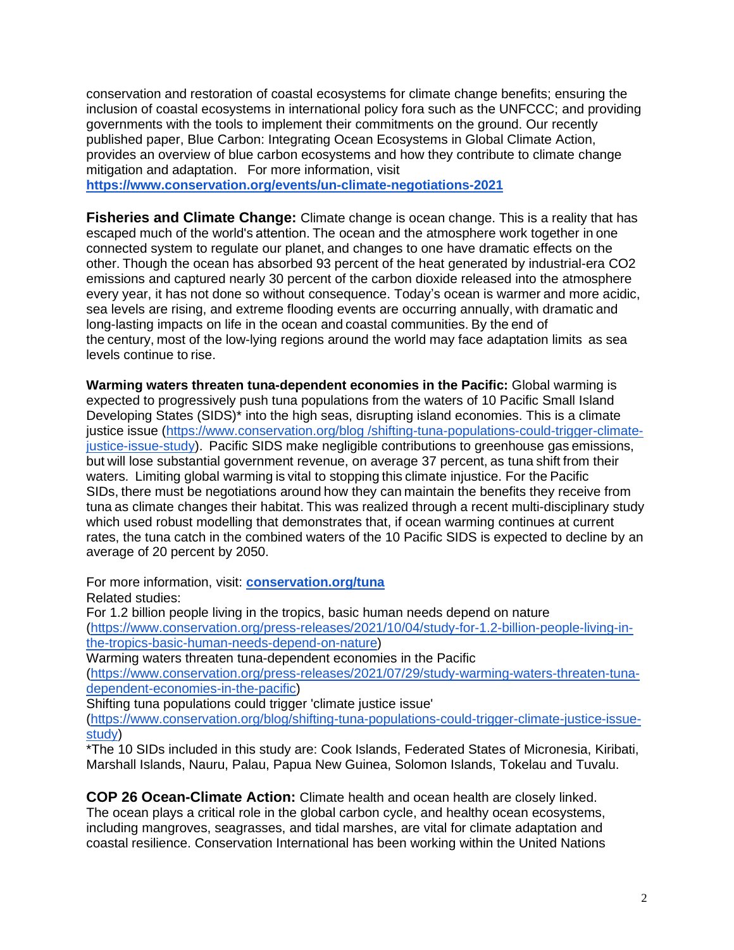conservation and restoration of coastal ecosystems for climate change benefits; ensuring the inclusion of coastal ecosystems in international policy fora such as the UNFCCC; and providing governments with the tools to implement their commitments on the ground. Our recently published paper, Blue Carbon: Integrating Ocean Ecosystems in Global Climate Action, provides an overview of blue carbon ecosystems and how they contribute to climate change mitigation and adaptation. For more information, visit

**<https://www.conservation.org/events/un-climate-negotiations-2021>**

**Fisheries and Climate Change:** Climate change is ocean change. This is a reality that has escaped much of the world's attention. The ocean and the atmosphere work together in one connected system to regulate our planet, and changes to one have dramatic effects on the other. Though the ocean has absorbed 93 percent of the heat generated by industrial-era CO2 emissions and captured nearly 30 percent of the carbon dioxide released into the atmosphere every year, it has not done so without consequence. Today's ocean is warmer and more acidic, sea levels are rising, and extreme flooding events are occurring annually, with dramatic and long-lasting impacts on life in the ocean and coastal communities. By the end of the century, most of the low-lying regions around the world may face adaptation limits as sea levels continue to rise.  

**Warming waters threaten tuna-dependent economies in the Pacific:** Global warming is expected to progressively push tuna populations from the waters of 10 Pacific Small Island Developing States (SIDS)\* into the high seas, disrupting island economies. This is a climate justice issue (https://www.conservation.org/blog [/shifting-tuna-populations-could-trigger-climate](https://www.conservation.org/blog/shifting-tuna-populations-could-trigger-climate-justice-issue-study)[justice-issue-study\)](https://www.conservation.org/blog/shifting-tuna-populations-could-trigger-climate-justice-issue-study). Pacific SIDS make negligible contributions to greenhouse gas emissions, but will lose substantial government revenue, on average 37 percent, as tuna shift from their waters. Limiting global warming is vital to stopping this climate injustice. For the Pacific SIDs, there must be negotiations around how they can maintain the benefits they receive from tuna as climate changes their habitat. This was realized through a recent multi-disciplinary study which used robust modelling that demonstrates that, if ocean warming continues at current rates, the tuna catch in the combined waters of the 10 Pacific SIDS is expected to decline by an average of 20 percent by 2050.

For more information, visit: **[conservation.org/tuna](http://conservation.org/tuna)**

Related studies:

For 1.2 billion people living in the tropics, basic human needs depend on nature [\(https://www.conservation.org/press-releases/2021/10/04/study-for-1.2-billion-people-living-in](https://www.conservation.org/press-releases/2021/10/04/study-for-1.2-billion-people-living-in-the-tropics-basic-human-needs-depend-on-nature)[the-tropics-basic-human-needs-depend-on-nature\)](https://www.conservation.org/press-releases/2021/10/04/study-for-1.2-billion-people-living-in-the-tropics-basic-human-needs-depend-on-nature)

Warming waters threaten tuna-dependent economies in the Pacific

[\(https://www.conservation.org/press-releases/2021/07/29/study-warming-waters-threaten-tuna](https://www.conservation.org/press-releases/2021/07/29/study-warming-waters-threaten-tuna-dependent-economies-in-the-pacific)[dependent-economies-in-the-pacific\)](https://www.conservation.org/press-releases/2021/07/29/study-warming-waters-threaten-tuna-dependent-economies-in-the-pacific)

Shifting tuna populations could trigger 'climate justice issue'

[\(https://www.conservation.org/blog/shifting-tuna-populations-could-trigger-climate-justice-issue](https://www.conservation.org/blog/shifting-tuna-populations-could-trigger-climate-justice-issue-study)[study\)](https://www.conservation.org/blog/shifting-tuna-populations-could-trigger-climate-justice-issue-study)

\*The 10 SIDs included in this study are: Cook Islands, Federated States of Micronesia, Kiribati, Marshall Islands, Nauru, Palau, Papua New Guinea, Solomon Islands, Tokelau and Tuvalu.

**COP 26 Ocean-Climate Action:** Climate health and ocean health are closely linked. The ocean plays a critical role in the global carbon cycle, and healthy ocean ecosystems, including mangroves, seagrasses, and tidal marshes, are vital for climate adaptation and coastal resilience. Conservation International has been working within the United Nations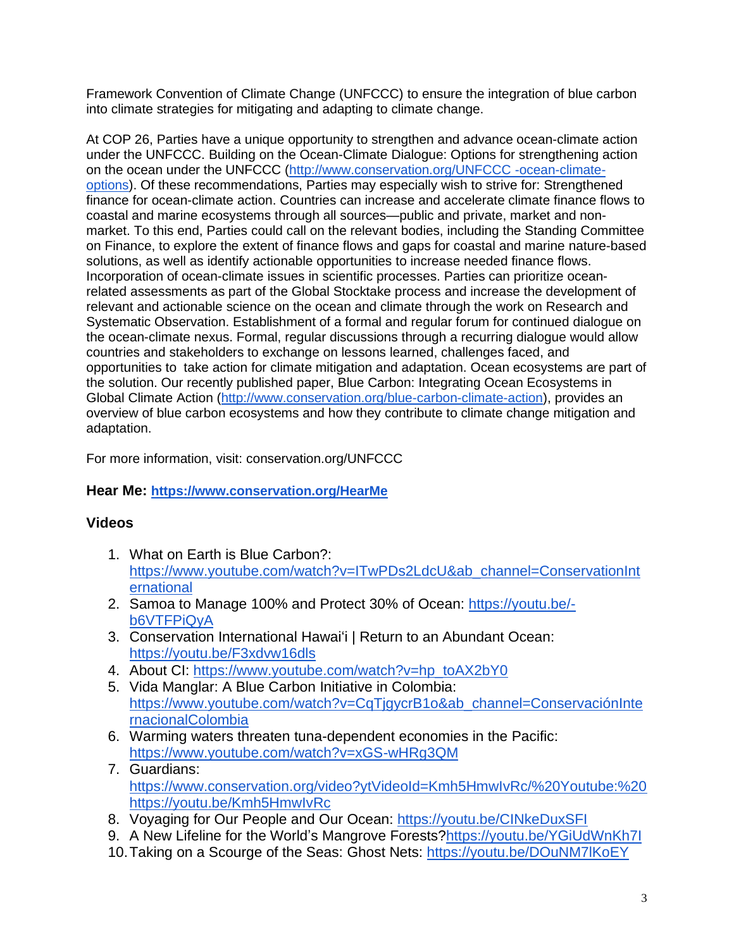Framework Convention of Climate Change (UNFCCC) to ensure the integration of blue carbon into climate strategies for mitigating and adapting to climate change.

At COP 26, Parties have a unique opportunity to strengthen and advance ocean-climate action under the UNFCCC. Building on the Ocean-Climate Dialogue: Options for strengthening action on the ocean under the UNFCCC [\(http://www.conservation.org/UNFCCC](http://www.conservation.org/UNFCCC-ocean-climate-options) -ocean-climate[options\)](http://www.conservation.org/UNFCCC-ocean-climate-options). Of these recommendations, Parties may especially wish to strive for: Strengthened finance for ocean-climate action. Countries can increase and accelerate climate finance flows to coastal and marine ecosystems through all sources—public and private, market and nonmarket. To this end, Parties could call on the relevant bodies, including the Standing Committee on Finance, to explore the extent of finance flows and gaps for coastal and marine nature-based solutions, as well as identify actionable opportunities to increase needed finance flows. Incorporation of ocean-climate issues in scientific processes. Parties can prioritize oceanrelated assessments as part of the Global Stocktake process and increase the development of relevant and actionable science on the ocean and climate through the work on Research and Systematic Observation. Establishment of a formal and regular forum for continued dialogue on the ocean-climate nexus. Formal, regular discussions through a recurring dialogue would allow countries and stakeholders to exchange on lessons learned, challenges faced, and opportunities to take action for climate mitigation and adaptation. Ocean ecosystems are part of the solution. Our recently published paper, Blue Carbon: Integrating Ocean Ecosystems in Global Climate Action [\(http://www.conservation.org/blue-carbon-climate-action\)](http://www.conservation.org/blue-carbon-climate-action), provides an overview of blue carbon ecosystems and how they contribute to climate change mitigation and adaptation.

For more information, visit: conservation.org/UNFCCC

## **Hear Me: <https://www.conservation.org/HearMe>**

## **Videos**

- 1. What on Earth is Blue Carbon?: [https://www.youtube.com/watch?v=ITwPDs2LdcU&ab\\_channel=ConservationInt](https://www.youtube.com/watch?v=ITwPDs2LdcU&ab_channel=ConservationInternational) [ernational](https://www.youtube.com/watch?v=ITwPDs2LdcU&ab_channel=ConservationInternational)
- 2. Samoa to Manage 100% and Protect 30% of Ocean: [https://youtu.be/](https://youtu.be/-b6VTFPiQyA) [b6VTFPiQyA](https://youtu.be/-b6VTFPiQyA)
- 3. Conservation International Hawaiʻi | Return to an Abundant Ocean: <https://youtu.be/F3xdvw16dls>
- 4. About CI: [https://www.youtube.com/watch?v=hp\\_toAX2bY0](https://www.youtube.com/watch?v=hp_toAX2bY0)
- 5. Vida Manglar: A Blue Carbon Initiative in Colombia: https://www.youtube.com/watch?v=CqTjqycrB1o&ab\_channel=ConservaciónInte [rnacionalColombia](https://www.youtube.com/watch?v=CqTjgycrB1o&ab_channel=Conservaci%25C3%25B3nInternacionalColombia)
- 6. Warming waters threaten tuna-dependent economies in the Pacific: <https://www.youtube.com/watch?v=xGS-wHRg3QM>
- 7. Guardians: [https://www.conservation.org/video?ytVideoId=Kmh5HmwIvRc/%20Youtube:%20](https://www.conservation.org/video?ytVideoId=Kmh5HmwIvRc/%2520Youtube:%2520https://youtu.be/Kmh5HmwIvRc) [https://youtu.be/Kmh5HmwIvRc](https://www.conservation.org/video?ytVideoId=Kmh5HmwIvRc/%2520Youtube:%2520https://youtu.be/Kmh5HmwIvRc)
- 8. Voyaging for Our People and Our Ocean: <https://youtu.be/CINkeDuxSFI>
- 9. A New Lifeline for the World's Mangrove Forests[?https://youtu.be/YGiUdWnKh7I](https://youtu.be/YGiUdWnKh7I)
- 10.Taking on a Scourge of the Seas: Ghost Nets: <https://youtu.be/DOuNM7lKoEY>